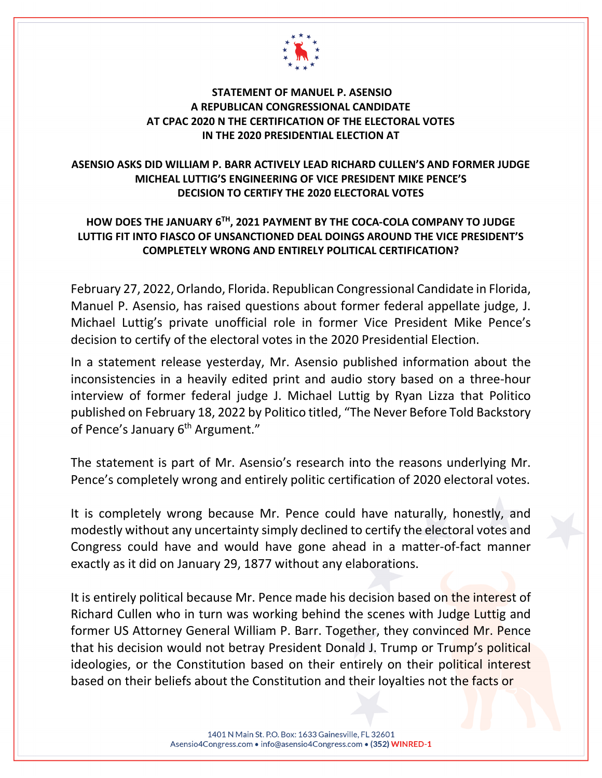

## **STATEMENT OF MANUEL P. ASENSIO A REPUBLICAN CONGRESSIONAL CANDIDATE AT CPAC 2020 N THE CERTIFICATION OF THE ELECTORAL VOTES IN THE 2020 PRESIDENTIAL ELECTION AT**

## **ASENSIO ASKS DID WILLIAM P. BARR ACTIVELY LEAD RICHARD CULLEN'S AND FORMER JUDGE MICHEAL LUTTIG'S ENGINEERING OF VICE PRESIDENT MIKE PENCE'S DECISION TO CERTIFY THE 2020 ELECTORAL VOTES**

## **HOW DOES THE JANUARY 6TH, 2021 PAYMENT BY THE COCA-COLA COMPANY TO JUDGE LUTTIG FIT INTO FIASCO OF UNSANCTIONED DEAL DOINGS AROUND THE VICE PRESIDENT'S COMPLETELY WRONG AND ENTIRELY POLITICAL CERTIFICATION?**

February 27, 2022, Orlando, Florida. Republican Congressional Candidate in Florida, Manuel P. Asensio, has raised questions about former federal appellate judge, J. Michael Luttig's private unofficial role in former Vice President Mike Pence's decision to certify of the electoral votes in the 2020 Presidential Election.

In a statement release yesterday, Mr. Asensio published information about the inconsistencies in a heavily edited print and audio story based on a three-hour interview of former federal judge J. Michael Luttig by Ryan Lizza that Politico published on February 18, 2022 by Politico titled, "The Never Before Told Backstory of Pence's January 6<sup>th</sup> Argument."

The statement is part of Mr. Asensio's research into the reasons underlying Mr. Pence's completely wrong and entirely politic certification of 2020 electoral votes.

It is completely wrong because Mr. Pence could have naturally, honestly, and modestly without any uncertainty simply declined to certify the electoral votes and Congress could have and would have gone ahead in a matter-of-fact manner exactly as it did on January 29, 1877 without any elaborations.

It is entirely political because Mr. Pence made his decision based on the interest of Richard Cullen who in turn was working behind the scenes with Judge Luttig and former US Attorney General William P. Barr. Together, they convinced Mr. Pence that his decision would not betray President Donald J. Trump or Trump's political ideologies, or the Constitution based on their entirely on their political interest based on their beliefs about the Constitution and their loyalties not the facts or

> 1401 N Main St. P.O. Box: 1633 Gainesville, FL 32601 Asensio4Congress.com · info@asensio4Congress.com · (352) WINRED-1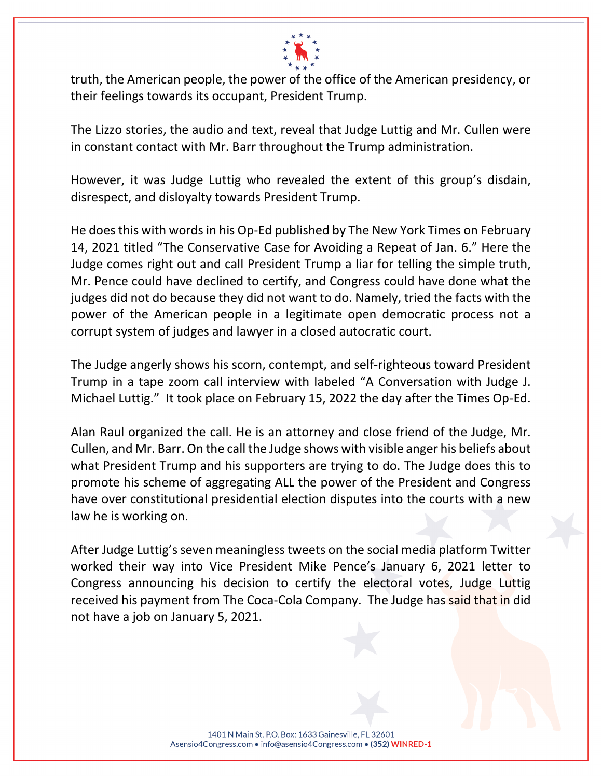

truth, the American people, the power of the office of the American presidency, or their feelings towards its occupant, President Trump.

The Lizzo stories, the audio and text, reveal that Judge Luttig and Mr. Cullen were in constant contact with Mr. Barr throughout the Trump administration.

However, it was Judge Luttig who revealed the extent of this group's disdain, disrespect, and disloyalty towards President Trump.

He does this with words in his Op-Ed published by The New York Times on February 14, 2021 titled "The Conservative Case for Avoiding a Repeat of Jan. 6." Here the Judge comes right out and call President Trump a liar for telling the simple truth, Mr. Pence could have declined to certify, and Congress could have done what the judges did not do because they did not want to do. Namely, tried the facts with the power of the American people in a legitimate open democratic process not a corrupt system of judges and lawyer in a closed autocratic court.

The Judge angerly shows his scorn, contempt, and self-righteous toward President Trump in a tape zoom call interview with labeled "A Conversation with Judge J. Michael Luttig." It took place on February 15, 2022 the day after the Times Op-Ed.

Alan Raul organized the call. He is an attorney and close friend of the Judge, Mr. Cullen, and Mr. Barr. On the call the Judge shows with visible anger his beliefs about what President Trump and his supporters are trying to do. The Judge does this to promote his scheme of aggregating ALL the power of the President and Congress have over constitutional presidential election disputes into the courts with a new law he is working on.

After Judge Luttig's seven meaningless tweets on the social media platform Twitter worked their way into Vice President Mike Pence's January 6, 2021 letter to Congress announcing his decision to certify the electoral votes, Judge Luttig received his payment from The Coca-Cola Company. The Judge has said that in did not have a job on January 5, 2021.

> 1401 N Main St. P.O. Box: 1633 Gainesville, FL 32601 Asensio4Congress.com • info@asensio4Congress.com • (352) WINRED-1